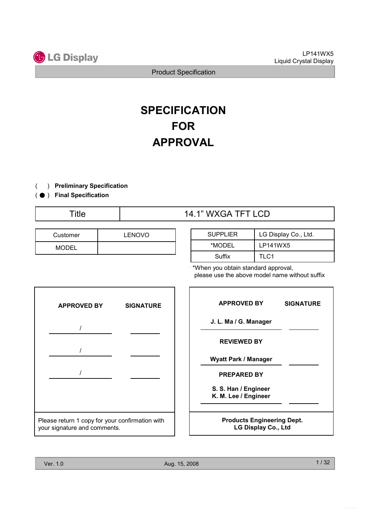

# **SPECIFICATION** FOR APPROVAL

- ) Preliminary Specification (
- ( ) Final Specification
	-

| Customer | <b>LENOVO</b> |
|----------|---------------|
| MODEL    |               |

# Title  $14.1$ " WXGA TFT LCD

| <b>SUPPLIER</b> | LG Display Co., Ltd. |
|-----------------|----------------------|
| *MODEL          | LP141WX5             |
| Suffix          | TLC1                 |

when you obtain standard approval, please use the above model name without suffix



| <b>APPROVED BY</b>                                              | <b>SIGNATURE</b> |  |  |  |
|-----------------------------------------------------------------|------------------|--|--|--|
| J. L. Ma / G. Manager                                           |                  |  |  |  |
| <b>REVIEWED BY</b>                                              |                  |  |  |  |
| Wyatt Park / Manager                                            |                  |  |  |  |
| <b>PREPARED BY</b>                                              |                  |  |  |  |
| S. S. Han / Engineer<br>K. M. Lee / Engineer                    |                  |  |  |  |
| <b>Products Engineering Dept.</b><br><b>LG Display Co., Ltd</b> |                  |  |  |  |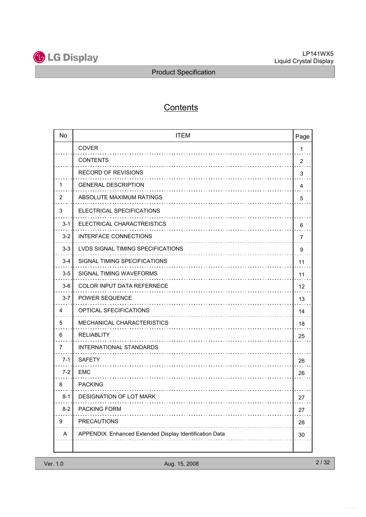

# **Contents**

| <b>No</b> | <b>ITEM</b>                                             | Page           |
|-----------|---------------------------------------------------------|----------------|
|           | <b>COVER</b>                                            | 1              |
|           | <b>CONTENTS</b>                                         | $\overline{2}$ |
|           | <b>RECORD OF REVISIONS</b>                              | 3              |
| 1         | <b>GENERAL DESCRIPTION</b>                              | 4              |
| 2         | ABSOLUTE MAXIMUM RATINGS                                | 5              |
| 3         | ELECTRICAL SPECIFICATIONS                               |                |
| $3 - 1$   | ELECTRICAL CHARACTREISTICS                              | 6              |
| $3 - 2$   | <b>INTERFACE CONNECTIONS</b>                            | 7              |
| $3-3$     | <b>LVDS SIGNAL TIMING SPECIFICATIONS</b>                | 9              |
| $3 - 4$   | SIGNAL TIMING SPECIFICATIONS                            | 11             |
| $3-5$     | <b>SIGNAL TIMING WAVEFORMS</b>                          | 11             |
| $3-6$     | COLOR INPUT DATA REFERNECE                              | 12             |
| $3 - 7$   | <b>POWER SEQUENCE</b>                                   | 13             |
| 4         | OPTICAL SFECIFICATIONS                                  | 14             |
| 5         | MECHANICAL CHARACTERISTICS                              | 18             |
| 6         | <b>RELIABLITY</b>                                       | 25             |
| 7         | INTERNATIONAL STANDARDS                                 |                |
| $7 - 1$   | <b>SAFETY</b>                                           | 26             |
| $7 - 2$   | <b>EMC</b>                                              | 26             |
| 8         | <b>PACKING</b>                                          |                |
| $8-1$     | DESIGNATION OF LOT MARK                                 | 27             |
| $8 - 2$   | PACKING FORM                                            | 27             |
| 9         | <b>PRECAUTIONS</b>                                      | 28             |
| Α         | APPENDIX. Enhanced Extended Display Identification Data | 30             |
|           |                                                         |                |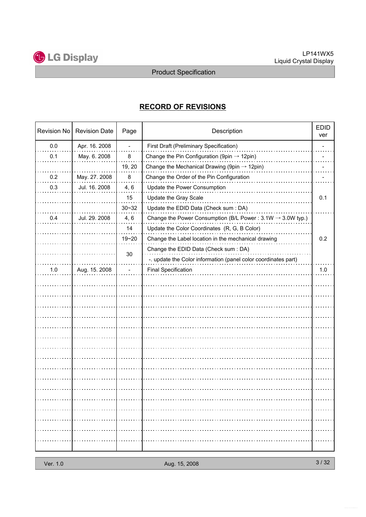

## RECORD OF REVISIONS

| Revision No | <b>Revision Date</b> | Page           | Description                                                            | <b>EDID</b><br>ver |
|-------------|----------------------|----------------|------------------------------------------------------------------------|--------------------|
| 0.0         | Apr. 16. 2008        | $\blacksquare$ | First Draft (Preliminary Specification)                                |                    |
| 0.1         | May. 6. 2008         | 8              | Change the Pin Configuration (9pin $\rightarrow$ 12pin)                |                    |
|             |                      | 19, 20         | Change the Mechanical Drawing (9pin $\rightarrow$ 12pin)               |                    |
| 0.2         | May. 27. 2008        | 8              | Change the Order of the Pin Configuration                              |                    |
| 0.3         | Jul. 16. 2008        | 4, 6           | Update the Power Consumption                                           |                    |
|             |                      | 15             | Update the Gray Scale                                                  | 0.1                |
|             |                      | $30 - 32$      | Update the EDID Data (Check sum : DA)                                  |                    |
| 0.4         | Jul. 29. 2008        | 4, 6           | Change the Power Consumption (B/L Power: $3.1W \rightarrow 3.0W$ typ.) |                    |
|             |                      | 14             | Update the Color Coordinates (R, G, B Color)                           |                    |
|             |                      | $19 - 20$      | Change the Label location in the mechanical drawing                    | 0.2                |
|             |                      |                | Change the EDID Data (Check sum : DA)                                  |                    |
|             |                      | 30             | -. update the Color information (panel color coordinates part)         |                    |
| 1.0         | Aug. 15. 2008        |                | <b>Final Specification</b>                                             | 1.0                |
|             |                      |                |                                                                        |                    |
|             |                      |                |                                                                        |                    |
|             |                      |                |                                                                        |                    |
|             |                      |                |                                                                        |                    |
|             |                      |                |                                                                        |                    |
|             |                      |                |                                                                        |                    |
|             |                      |                |                                                                        |                    |
|             |                      |                |                                                                        |                    |
|             |                      |                |                                                                        |                    |
|             |                      |                |                                                                        |                    |
|             |                      |                |                                                                        |                    |
|             |                      |                |                                                                        |                    |
|             |                      |                |                                                                        |                    |
|             |                      |                |                                                                        | .                  |
|             |                      |                |                                                                        |                    |
|             |                      |                |                                                                        | .                  |
|             |                      |                |                                                                        |                    |
|             |                      |                |                                                                        |                    |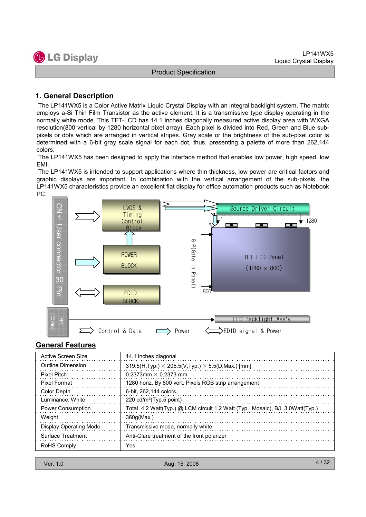

#### 1. General Description

The LP141WX5 is a Color Active Matrix Liquid Crystal Display with an integral backlight system. The matrix employs a-Si Thin Film Transistor as the active element. It is a transmissive type display operating in the normally white mode. This TFT-LCD has 14.1 inches diagonally measured active display area with WXGA resolution(800 vertical by 1280 horizontal pixel array). Each pixel is divided into Red, Green and Blue subpixels or dots which are arranged in vertical stripes. Gray scale or the brightness of the sub-pixel color is determined with a 6-bit gray scale signal for each dot, thus, presenting a palette of more than 262,144 colors.

The LP141WX5 has been designed to apply the interface method that enables low power, high speed, low EMI.

The LP141WX5 is intended to support applications where thin thickness, low power are critical factors and graphic displays are important. In combination with the vertical arrangement of the sub-pixels, the LP141WX5 characteristics provide an excellent flat display for office automation products such as Notebook PC.



#### General Features

| Active Screen Size            | 14.1 inches diagonal                                                         |
|-------------------------------|------------------------------------------------------------------------------|
| Outline Dimension             | $319.5(H, Type) \times 205.5(V, Type) \times 5.5(D, Max.)$ [mm]              |
| Pixel Pitch                   | 0.2373mm $\times$ 0.2373 mm                                                  |
| Pixel Format                  | 1280 horiz. By 800 vert. Pixels RGB strip arrangement                        |
| Color Depth                   | 6-bit, 262,144 colors                                                        |
| Luminance, White              | 220 $cd/m^2$ (Typ.5 point)                                                   |
| <b>Power Consumption</b>      | Total 4.2 Watt(Typ.) @ LCM circuit 1.2 Watt (Typ._Mosaic), B/L 3.0Watt(Typ.) |
| Weight                        | 360q(Max.)                                                                   |
| <b>Display Operating Mode</b> | Transmissive mode, normally white                                            |
| Surface Treatment             | Anti-Glare treatment of the front polarizer                                  |
| <b>RoHS Comply</b>            | Yes                                                                          |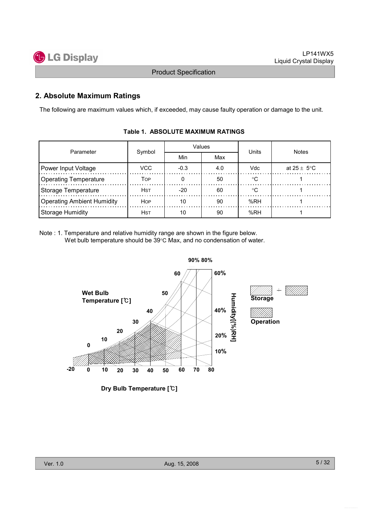

#### 2. Absolute Maximum Ratings

The following are maximum values which, if exceeded, may cause faulty operation or damage to the unit.

| Parameter                         | Symbol     |        | Values | Units   | <b>Notes</b>    |  |
|-----------------------------------|------------|--------|--------|---------|-----------------|--|
|                                   |            | Min    | Max    |         |                 |  |
| Power Input Voltage               | VCC.       | $-0.3$ | 4.0    | Vdc     | at 25 $\pm$ 5°C |  |
| <b>Operating Temperature</b>      | Top        |        | 50     | $\circ$ |                 |  |
| Storage Temperature               | Hst        | $-20$  | 60     |         |                 |  |
| <b>Operating Ambient Humidity</b> | <b>HOP</b> | 10     | 90     | %RH     |                 |  |
| Storage Humidity                  | Hst        | 10     | 90     | %RH     |                 |  |

#### Table 1. ABSOLUTE MAXIMUM RATINGS

Note : 1. Temperature and relative humidity range are shown in the figure below. Wet bulb temperature should be 39°C Max, and no condensation of water.



Dry Bulb Temperature [℃]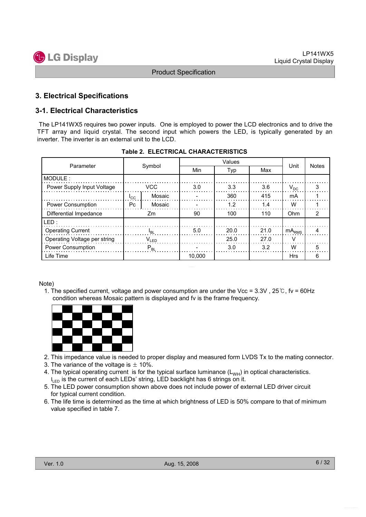

#### 3. Electrical Specifications

#### 3-1. Electrical Characteristics

The LP141WX5 requires two power inputs. One is employed to power the LCD electronics and to drive the TFT array and liquid crystal. The second input which powers the LED, is typically generated by an inverter. The inverter is an external unit to the LCD.

|                              | Symbol     |                 |        |      |      |            |              |
|------------------------------|------------|-----------------|--------|------|------|------------|--------------|
| Parameter                    |            |                 | Min    | Typ  | Max  | Unit       | <b>Notes</b> |
| MODULE:                      |            |                 |        |      |      |            |              |
| Power Supply Input Voltage   | <b>VCC</b> |                 | 3.0    | 3.3  | 3.6  | $V_{DC}$   | 3            |
|                              | ICC        | Mosaic          |        | 360  | 415  | mA         |              |
| <b>Power Consumption</b>     | Pc.        | Mosaic          |        | 1.2  | 1.4  | w          |              |
| Differential Impedance       | Zm         |                 | 90     | 100  | 110  | Ohm        | 2            |
| LED:                         |            |                 |        |      |      |            |              |
| <b>Operating Current</b>     |            | <sup>I</sup> BI | 5.0    | 20.0 | 21.0 | $mA_{RMS}$ | 4            |
| Operating Voltage per string | $V_{LED}$  |                 |        | 25.0 | 27.0 | v          |              |
| Power Consumption            | $P_{BL}$   |                 |        | 3.0  | 3.2  | W          | 5            |
| Life Time                    |            |                 | 10,000 |      |      | <b>Hrs</b> | 6            |

|  |  |  | <b>Table 2. ELECTRICAL CHARACTERISTICS</b> |
|--|--|--|--------------------------------------------|
|--|--|--|--------------------------------------------|

#### Note)

1. The specified current, voltage and power consumption are under the Vcc = 3.3V , 25℃, fv = 60Hz condition whereas Mosaic pattern is displayed and fv is the frame frequency.



- 2. This impedance value is needed to proper display and measured form LVDS Tx to the mating connector.
- 3. The variance of the voltage is  $\pm$  10%.
- 4. The typical operating current is for the typical surface luminance  $(L_{WH})$  in optical characteristics.  $I_{\text{LED}}$  is the current of each LEDs' string, LED backlight has 6 strings on it.
- 5. The LED power consumption shown above does not include power of external LED driver circuit for typical current condition.
- 6. The life time is determined as the time at which brightness of LED is 50% compare to that of minimum value specified in table 7.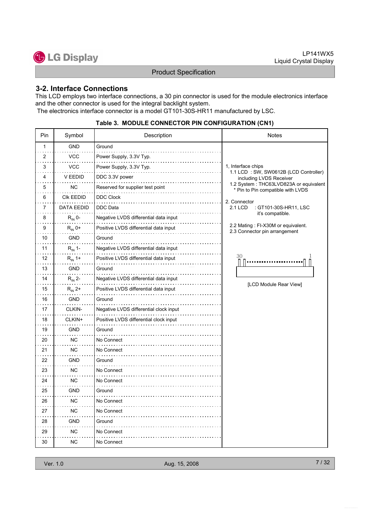

#### 3-2. Interface Connections

This LCD employs two interface connections, a 30 pin connector is used for the module electronics interface and the other connector is used for the integral backlight system.

The electronics interface connector is a model GT101-30S-HR11 manufactured by LSC.

| Pin | Symbol            | Description                            | Notes                                                                       |
|-----|-------------------|----------------------------------------|-----------------------------------------------------------------------------|
| 1   | <b>GND</b>        | Ground                                 |                                                                             |
| 2   | <b>VCC</b>        | Power Supply, 3.3V Typ.                |                                                                             |
| 3   | <b>VCC</b>        | Power Supply, 3.3V Typ.                | 1, Interface chips                                                          |
| 4   | V EEDID           | DDC 3.3V power                         | 1.1 LCD: SW, SW0612B (LCD Controller)<br>including LVDS Receiver            |
| 5   | NC.               | Reserved for supplier test point       | 1.2 System: THC63LVD823A or equivalent<br>* Pin to Pin compatible with LVDS |
| 6   | CIK EEDID         | <b>DDC Clock</b>                       | 2. Connector                                                                |
| 7   | <b>DATA EEDID</b> | <b>DDC</b> Data                        | : GT101-30S-HR11, LSC<br>2.1 LCD                                            |
| 8   | $R_{IN}$ 0-       | Negative LVDS differential data input  | it's compatible.                                                            |
| 9   | $R_{IN}$ 0+       | Positive LVDS differential data input  | 2.2 Mating : FI-X30M or equivalent.<br>2.3 Connector pin arrangement        |
| 10  | <b>GND</b>        | Ground                                 |                                                                             |
| 11  | $R_{IN}$ 1-       | Negative LVDS differential data input  |                                                                             |
| 12  | $R_{IN}$ 1+       | Positive LVDS differential data input  | 30                                                                          |
| 13  | <b>GND</b>        | Ground                                 |                                                                             |
| 14  | $R_{IN}$ 2-       | Negative LVDS differential data input  |                                                                             |
| 15  | $R_{IN}$ 2+       | Positive LVDS differential data input  | [LCD Module Rear View]                                                      |
| 16  | <b>GND</b>        | Ground                                 |                                                                             |
| 17  | CLKIN-            | Negative LVDS differential clock input |                                                                             |
| 18  | CLKIN+            | Positive LVDS differential clock input |                                                                             |
| 19  | <b>GND</b>        | Ground                                 |                                                                             |
| 20  | NС                | No Connect<br>.                        |                                                                             |
| 21  | ΝC                | No Connect                             |                                                                             |
| 22  | <b>GND</b>        | Ground                                 |                                                                             |
| 23  | NC.               | No Connect                             |                                                                             |
| 24  | ΝC                | No Connect                             |                                                                             |
| 25  | GND               | Ground                                 |                                                                             |
| 26  | NC.               | No Connect                             |                                                                             |
| 27  | <b>NC</b>         | No Connect                             |                                                                             |
| 28  | <b>GND</b>        | Ground                                 |                                                                             |
| 29  | ΝC                | No Connect                             |                                                                             |
| 30  | ΝC                | No Connect                             |                                                                             |

#### Table 3. MODULE CONNECTOR PIN CONFIGURATION (CN1)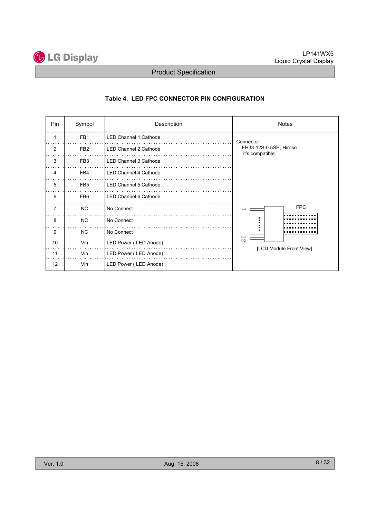

#### Table 4. LED FPC CONNECTOR PIN CONFIGURATION

| Pin | Symbol          | Description                  | <b>Notes</b>                               |  |  |
|-----|-----------------|------------------------------|--------------------------------------------|--|--|
|     | FB <sub>1</sub> | LED Channel 1 Cathode        | Connector                                  |  |  |
| 2   | FB <sub>2</sub> | <b>LED Channel 2 Cathode</b> | FH33-12S-0.5SH, Hirose<br>it's compatible. |  |  |
| 3   | FB <sub>3</sub> | <b>LED Channel 3 Cathode</b> |                                            |  |  |
| 4   | FB4             | <b>LED Channel 4 Cathode</b> |                                            |  |  |
| 5   | FB <sub>5</sub> | <b>LED Channel 5 Cathode</b> |                                            |  |  |
| 6   | FB <sub>6</sub> | LED Channel 6 Cathode        |                                            |  |  |
| 7   | <b>NC</b>       | No Connect                   | <b>FPC</b>                                 |  |  |
| 8   | N <sub>C</sub>  | No Connect                   |                                            |  |  |
| 9   | N <sub>C</sub>  | No Connect                   |                                            |  |  |
| 10  | Vin             | LED Power (LED Anode)        | 12<br>[LCD Module Front View]              |  |  |
| 11  | Vin             | LED Power (LED Anode)        |                                            |  |  |
| 12  | Vin             | LED Power (LED Anode)        |                                            |  |  |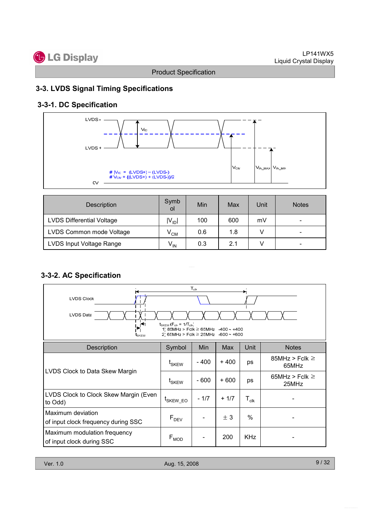# **C** LG Display

Product Specification

### 3-3. LVDS Signal Timing Specifications

## 3-3-1. DC Specification



| Description                      | Symb<br>οl      | Min | Max | Unit | <b>Notes</b>             |
|----------------------------------|-----------------|-----|-----|------|--------------------------|
| <b>LVDS Differential Voltage</b> | $ V_{ D} $      | 100 | 600 | mV   | $\overline{\phantom{0}}$ |
| LVDS Common mode Voltage         | $V^{\text{CM}}$ | 0.6 | 1.8 |      | $\overline{\phantom{0}}$ |
| LVDS Input Voltage Range         | $V_{IN}$        | 0.3 | 2.1 |      | $\overline{\phantom{0}}$ |

## 3-3-2. AC Specification

| <b>LVDS Clock</b><br><b>LVDS Data</b><br>$\mathbf{v}$<br>t <sub>SKEW</sub> | $t_{SKFW}$ ( $F_{cls} = 1/T_{cls}$ )<br>1' 85MHz > Fclk $\geq$ 65MHz $-400 - +400$<br>2) 65MHz > Fclk $\geq$ 25MHz -600 ~ +600 | $T_{\scriptscriptstyle{\text{clk}}}$ |        |                    |                              |
|----------------------------------------------------------------------------|--------------------------------------------------------------------------------------------------------------------------------|--------------------------------------|--------|--------------------|------------------------------|
| <b>Description</b>                                                         | Symbol                                                                                                                         | Min                                  | Max    | Unit               | <b>Notes</b>                 |
|                                                                            | t <sub>SKEW</sub>                                                                                                              | $-400$                               | + 400  | ps                 | 85MHz > Fclk $\geq$<br>65MHz |
| LVDS Clock to Data Skew Margin                                             | $t_{SKEW}$                                                                                                                     | - 600                                | + 600  | ps                 | 65MHz > Fclk $\geq$<br>25MHz |
| LVDS Clock to Clock Skew Margin (Even<br>to Odd)                           | <sup>L</sup> SKEW EO                                                                                                           | $-1/7$                               | $+1/7$ | $T_{\mathsf{clk}}$ |                              |
| Maximum deviation<br>of input clock frequency during SSC                   | $F_{DEV}$                                                                                                                      |                                      | ± 3    | $\%$               |                              |
| Maximum modulation frequency<br>of input clock during SSC                  | $\mathsf{F}_{\mathsf{MOD}}$                                                                                                    |                                      | 200    | <b>KHz</b>         |                              |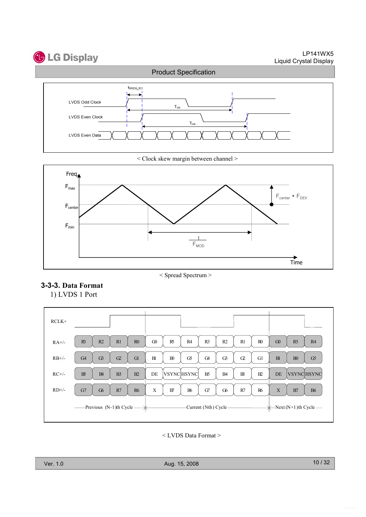# **C** LG Display

LP141WX5 Liquid Crystal Display



< Clock skew margin between channel >



< Spread Spectrum >

#### 3-3-3. Data Format

1) LVDS 1 Port

| $RCLK+$             |                                                  |                                                                                              |                                   |
|---------------------|--------------------------------------------------|----------------------------------------------------------------------------------------------|-----------------------------------|
| $RA+/$              | R3<br>R <sub>2</sub><br>R1<br>R <sub>0</sub>     | $\Omega$<br>R <sub>0</sub><br>R <sub>5</sub><br>R4<br>R <sub>3</sub><br>R <sub>2</sub><br>R1 | G0<br>R5<br>R4                    |
| $RB+/$              | G3<br>G <sub>4</sub><br>C <sub>2</sub><br>Gl     | G5<br>B1<br>B <sub>0</sub><br>G <sub>4</sub><br>G3<br>$\Omega$<br>G1                         | B1<br>G5<br>B <sub>0</sub>        |
| $RC+/-$             | $B\!S$<br>B <sub>3</sub><br>B <sub>4</sub><br>B2 | <b>VSYNCHSYNC</b><br>B <sub>5</sub><br>DE<br>$B^2$<br>B2<br>B <sub>4</sub>                   | <b>VSYNCHSYNC</b><br>DE           |
| $RD$ <sup>+/-</sup> | G7<br>G6<br>R7<br><b>R6</b>                      | X<br><b>B6</b><br>G7<br>G6<br>R7<br><b>R6</b><br>B7                                          | $\mathbf X$<br>B7<br><b>B6</b>    |
|                     | -Previous (N-1)th Cycle -                        | -Current (Nth) Cycle -                                                                       | $\leftarrow$ Next (N+1)th Cycle — |

< LVDS Data Format >

Ver. 1.0 Aug. 15, 2008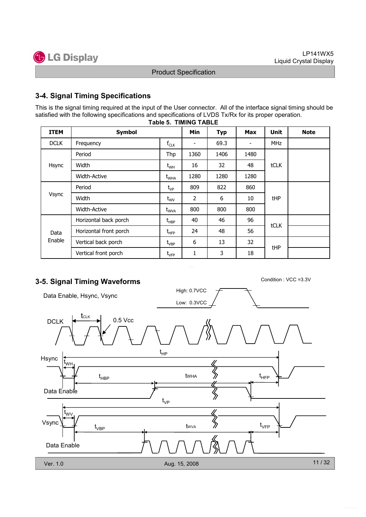

#### 3-4. Signal Timing Specifications

This is the signal timing required at the input of the User connector. All of the interface signal timing should be satisfied with the following specifications and specifications of LVDS Tx/Rx for its proper operation.

| <b>ITEM</b> | <b>Symbol</b>          |                                               | Min                      | <b>Typ</b> | <b>Max</b>     | <b>Unit</b> | <b>Note</b> |
|-------------|------------------------|-----------------------------------------------|--------------------------|------------|----------------|-------------|-------------|
| <b>DCLK</b> | Frequency              | $f_{CLK}$                                     | $\overline{\phantom{a}}$ | 69.3       | $\blacksquare$ | <b>MHz</b>  |             |
|             | Period                 | Thp                                           | 1360                     | 1406       | 1480           |             |             |
| Hsync       | Width                  | $t_{WH}$                                      | 16                       | 32         | 48             | tCLK        |             |
|             | <b>Width-Active</b>    | $t_{\text{WHA}}$                              | 1280                     | 1280       | 1280           |             |             |
| Vsync       | Period                 | $t_{VP}$                                      | 809                      | 822        | 860            |             |             |
|             | Width                  | $t_{\text{wV}}$                               | 2                        | 6          | 10             | tHP         |             |
|             | <b>Width-Active</b>    | $t_{WVA}$                                     | 800                      | 800        | 800            |             |             |
|             | Horizontal back porch  | $\mathsf{t}_{\mathsf{H}\mathsf{B}\mathsf{P}}$ | 40                       | 46         | 96             | tCLK        |             |
| Data        | Horizontal front porch | $\mathsf{t}_{\mathsf{H}\mathsf{F}\mathsf{P}}$ | 24                       | 48         | 56             |             |             |
| Enable      | Vertical back porch    | $\rm t_{\rm VBP}$                             | 6                        | 13         | 32             |             |             |
|             | Vertical front porch   | $t_{\scriptscriptstyle\rm VFP}$               | 1                        | 3          | 18             | tHP         |             |

#### Table 5. TIMING TABLE

## 3-5. Signal Timing Waveforms Condition : VCC =3.3V

High: 0.7VCC Data Enable, Hsync, Vsync Low: 0.3VCC **t**<sub>CLK</sub> DCLK  $\left| \leftarrow$  CLK 0.5 Vcc  $t_{HP}$ Hsync t<sub>wн</sub> tWHA  $t_{\text{HBP}}$  twha  $\gg$   $t_{\text{HFP}}$ Data Enable ≶  $t_{\vee P}$ t<sub>wv</sub>  $\bigotimes$ Vsync  $t_{\rm VFP}$ tWVA  $\mathfrak{t}_{\mathsf{VBP}}$ Data Enable 11 / 32 Ver. 1.0 Aug. 15, 2008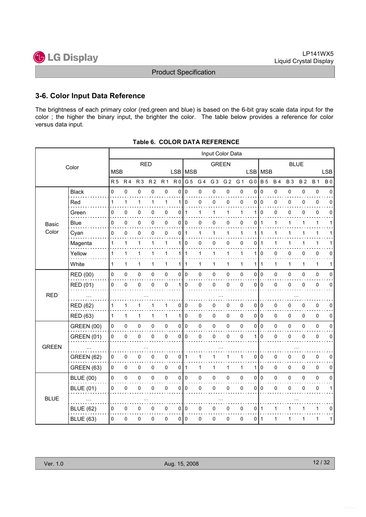

#### 3-6. Color Input Data Reference

The brightness of each primary color (red,green and blue) is based on the 6-bit gray scale data input for the color ; the higher the binary input, the brighter the color. The table below provides a reference for color versus data input.

|              |                   |                |                |                |                |                     |                |                |              | Input Color Data |                |              |                 |              |              |             |             |              |              |
|--------------|-------------------|----------------|----------------|----------------|----------------|---------------------|----------------|----------------|--------------|------------------|----------------|--------------|-----------------|--------------|--------------|-------------|-------------|--------------|--------------|
|              | Color             |                |                | <b>RED</b>     |                |                     |                |                |              | <b>GREEN</b>     |                |              |                 |              |              | <b>BLUE</b> |             |              |              |
|              |                   | <b>MSB</b>     |                |                |                |                     | LSB   MSB      |                |              |                  |                |              | <b>LSB</b>      | <b>MSB</b>   |              |             |             |              | <b>LSB</b>   |
|              |                   | R <sub>5</sub> | R <sub>4</sub> | R <sub>3</sub> | R <sub>2</sub> | R <sub>1</sub>      | R <sub>0</sub> | G <sub>5</sub> | G 4          | G <sub>3</sub>   | G <sub>2</sub> | G 1          | G <sub>0</sub>  | <b>B</b> 5   | <b>B4</b>    | <b>B3</b>   | <b>B2</b>   | <b>B</b> 1   | <b>B0</b>    |
|              | <b>Black</b><br>. | 0              | 0              | 0              | 0              | 0                   | 0              | $\Omega$       | 0            | 0                | 0              | $\mathbf 0$  | $\mathbf 0$     | $\mathbf 0$  | 0            | 0           | 0           | $\pmb{0}$    | $\Omega$     |
|              | Red               | $\mathbf{1}$   | 1              | 1              | 1              | $\mathbf{1}$        |                | 1 0            | 0            | 0                | 0              | 0            | 0               | $\mathbf 0$  | 0            | 0           | 0           | 0            | 0            |
|              | Green             | 0              | 0              | 0              | 0              | 0                   | 0              | $\mathbf 1$    | 1            | $\mathbf{1}$     | $\mathbf{1}$   | 1            | 1               | $\mathbf 0$  | 0            | 0           | 0           | $\pmb{0}$    | 0            |
| <b>Basic</b> | <b>Blue</b>       | 0              | 0              | 0              | 0              | 0                   | $\overline{0}$ | l O            | 0            | 0                | 0              | 0            | 0               | $\mathbf{1}$ | 1            | 1           | 1           | 1            | 1            |
| Color        | Cyan              | 0              | 0              | $\pmb{0}$      | 0              | $\mathbf 0$         | 0              | $\mathbf{1}$   | $\mathbf{1}$ | 1                | $\mathbf{1}$   | 1            | 1               | $\mathbf{1}$ | $\mathbf{1}$ | 1           | 1           | 1            | 1            |
|              | Magenta           | 1              | 1              | 1              | 1              | 1                   | 1              | $\mathbf 0$    | 0            | 0                | 0              | 0            | 0               | 1            | 1            | 1           |             | 1            |              |
|              | Yellow            | 1              | $\mathbf{1}$   | 1              | 1              | $\mathbf{1}$        |                | $111$          | $\mathbf{1}$ | 1                | $\mathbf{1}$   | 1            | 1               | 0            | 0            | 0           | 0           | $\mathbf 0$  | 0            |
|              | White             | $\mathbf{1}$   | $\mathbf{1}$   | 1              | $\mathbf{1}$   | $\mathbf{1}$        | 1              | $\mathbf 1$    | $\mathbf{1}$ | $\mathbf{1}$     | 1              | $\mathbf{1}$ | 1               | $\mathbf{1}$ | $\mathbf{1}$ | 1           | 1           | $\mathbf{1}$ | 1            |
|              | <b>RED (00)</b>   | 0              | 0              | $\pmb{0}$      | 0              | $\pmb{0}$           |                | 0 0            | 0            | $\pmb{0}$        | 0              | 0            | 0               | I٥           | 0            | 0           | 0           | $\pmb{0}$    | $\mathbf 0$  |
|              | RED (01)          | 0              | $\mathbf 0$    | 0              | 0              | $\pmb{0}$           | 1 <sup>1</sup> | 0              | 0            | 0                | 0              | $\mathbf 0$  | 0               | l o          | $\mathsf 0$  | 0           | 0           | $\mathbf 0$  | $\mathbf 0$  |
| <b>RED</b>   |                   |                |                |                |                |                     |                |                |              |                  |                |              |                 |              |              |             |             |              |              |
|              | <b>RED (62)</b>   | 1              | $\mathbf{1}$   | 1              | 1              | $\mathbf{1}$        |                | 0 0            | 0            | 0                | 0              | 0            | 0               | ۱٥           | 0            | 0           | 0           | $\mathbf 0$  | 0            |
|              | <b>RED (63)</b>   | $\mathbf{1}$   | $\mathbf{1}$   | $\mathbf{1}$   | $\mathbf{1}$   | $\mathbf{1}$        |                | 110            | 0            | $\mathbf 0$      | 0              | 0            | 0 <sup>10</sup> |              | $\mathbf 0$  | $\Omega$    | 0           | $\mathbf 0$  | $\mathbf 0$  |
|              | <b>GREEN (00)</b> | 0              | 0              | $\pmb{0}$      | 0              | $\pmb{0}$           |                | 0 0            | 0            | $\pmb{0}$        | $\pmb{0}$      | $\mathbf 0$  | 0               | 0            | $\pmb{0}$    | 0           | $\mathbf 0$ | $\pmb{0}$    | $\mathbf 0$  |
|              | <b>GREEN (01)</b> | 0              | 0              | 0              | 0              | 0                   | $\overline{0}$ | 0              | 0            | 0                | 0              | 0            | 1               | $\mathbf 0$  | 0            | 0           | 0           | $\pmb{0}$    | 0            |
| <b>GREEN</b> |                   |                |                |                |                |                     |                |                |              |                  |                |              |                 |              |              |             |             |              |              |
|              | <b>GREEN (62)</b> | 0              | $\pmb{0}$      | 0              | 0              | 0                   | $\overline{0}$ | $\mathbf 1$    | 1            | 1                | 1              | 1            | 0               | l o          | 0            | 0           | 0           | $\mathbf 0$  | 0            |
|              | <b>GREEN (63)</b> | 0              | 0              | 0              | 0              | $\mathsf{O}\xspace$ | $0$   1        |                | 1            | $\mathbf{1}$     | $\mathbf{1}$   | $\mathbf{1}$ | 1               | $\mathbf 0$  | $\mathsf 0$  | 0           | 0           | $\mathbf 0$  | 0            |
|              | <b>BLUE (00)</b>  | 0              | 0              | 0              | 0              | $\pmb{0}$           |                | 0 0            | 0            | $\pmb{0}$        | $\pmb{0}$      | $\mathsf 0$  | 0               | I٥           | 0            | $\Omega$    | 0           | $\pmb{0}$    | $\Omega$     |
|              | <b>BLUE (01)</b>  | 0              | 0              | 0              | 0              | 0                   | 0              | 0              | 0            | 0                | 0              | 0            | 0               | $\mathbf 0$  | 0            | 0           | 0           | $\pmb{0}$    | $\mathbf{1}$ |
| <b>BLUE</b>  |                   |                |                |                |                |                     |                |                |              |                  |                |              |                 |              |              |             |             |              |              |
|              | <b>BLUE (62)</b>  | 0              | $\mathbf 0$    | 0              | 0              | $\pmb{0}$           |                | 0 0            | 0            | 0                | $\pmb{0}$      | 0            | 0               | ∣ 1          | 1            |             | 1           | 1            | 0            |
|              | <b>BLUE (63)</b>  | 0              | 0              | 0              | 0              | $\pmb{0}$           |                | 0 0            | 0            | 0                | 0              | 0            | 0               | $\mathbf{1}$ | 1            | 1           | 1           | 1            | 1            |
|              |                   |                |                |                |                |                     |                |                |              |                  |                |              |                 |              |              |             |             |              |              |

Table 6. COLOR DATA REFERENCE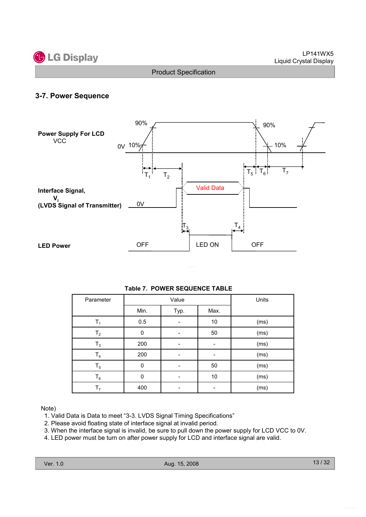

#### 3-7. Power Sequence



| Table 7. POWER SEQUENCE TABLE |  |
|-------------------------------|--|
|                               |  |

| Parameter      |             | Value | Units |      |
|----------------|-------------|-------|-------|------|
|                | Min.        | Typ.  | Max.  |      |
| T <sub>1</sub> | 0.5         |       | 10    | (ms) |
| $T_{2}$        | 0           |       | 50    | (ms) |
| $T_3$          | 200         |       |       | (ms) |
| T <sub>4</sub> | 200         |       |       | (ms) |
| $T_5$          | $\mathbf 0$ |       | 50    | (ms) |
| $T_6$          | $\Omega$    |       | 10    | (ms) |
| T <sub>7</sub> | 400         |       |       | (ms) |

Note)

- 1. Valid Data is Data to meet "3-3. LVDS Signal Timing Specifications"
- 2. Please avoid floating state of interface signal at invalid period.
- 3. When the interface signal is invalid, be sure to pull down the power supply for LCD VCC to 0V.
- 4. LED power must be turn on after power supply for LCD and interface signal are valid.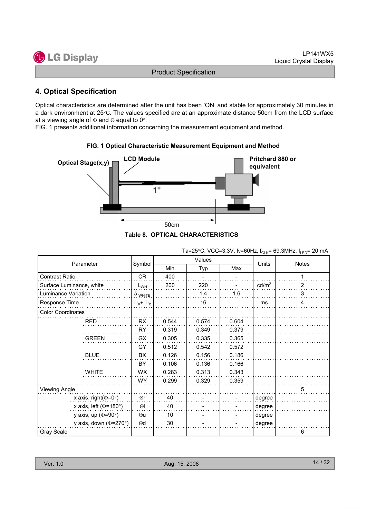

#### 4. Optical Specification

Optical characteristics are determined after the unit has been 'ON' and stable for approximately 30 minutes in a dark environment at 25°C. The values specified are at an approximate distance 50cm from the LCD surface at a viewing angle of  $\Phi$  and  $\Theta$  equal to 0°.

FIG. 1 presents additional information concerning the measurement equipment and method.



#### FIG. 1 Optical Characteristic Measurement Equipment and Method

|                              |                |       | Values | --, ·uln | שם י              |              |
|------------------------------|----------------|-------|--------|----------|-------------------|--------------|
| Parameter                    | Symbol         | Min   | Typ    | Max      | Units             | <b>Notes</b> |
| <b>Contrast Ratio</b>        | CR             | 400   |        |          |                   |              |
| Surface Luminance, white     | $L_{WH}$       | 200   | 220    |          | cd/m <sup>2</sup> | 2            |
| Luminance Variation          | $\delta$ white |       | 1.4    | 1.6      |                   | 3            |
| Response Time                | $Tr_R + Tr_D$  |       | 16     |          | ms                | 4            |
| <b>Color Coordinates</b>     |                |       |        |          |                   |              |
| <b>RED</b>                   | <b>RX</b>      | 0.544 | 0.574  | 0.604    |                   |              |
|                              | <b>RY</b>      | 0.319 | 0.349  | 0.379    |                   |              |
| <b>GREEN</b>                 | GX             | 0.305 | 0.335  | 0.365    |                   |              |
|                              | GY             | 0.512 | 0.542  | 0.572    |                   |              |
| <b>BLUE</b>                  | <b>BX</b>      | 0.126 | 0.156  | 0.186    |                   |              |
|                              | <b>BY</b>      | 0.106 | 0.136  | 0.166    |                   |              |
| <b>WHITE</b>                 | WX             | 0.283 | 0.313  | 0.343    |                   |              |
|                              | <b>WY</b>      | 0.299 | 0.329  | 0.359    |                   |              |
| Viewing Angle                |                |       |        |          |                   | 5            |
| x axis, right( $\Phi$ =0°)   | $\Theta$ r     | 40    |        |          | degree            |              |
| x axis, left ( $\Phi$ =180°) | $\Theta$       | 40    |        |          | degree            |              |
| y axis, up ( $\Phi$ =90°)    | $\Theta$ u     | 10    |        |          | degree            |              |
| y axis, down ( $\Phi$ =270°) | $\Theta$ d     | 30    |        |          | degree            |              |
| Gray Scale                   |                |       |        |          |                   | 6            |

Ta=25°C, VCC=3.3V, fv=60Hz,  $f_{CLK}$ = 69.3MHz,  $I_{LED}$ = 20 mA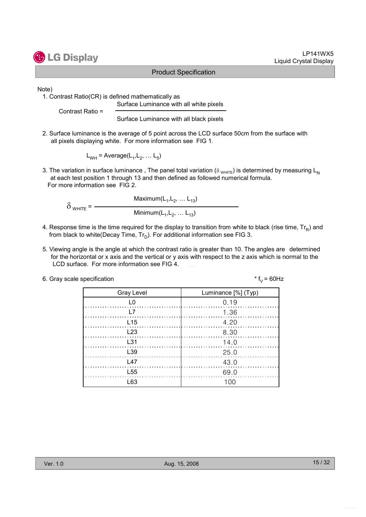# **G** LG Display

#### Product Specification

Note)

1. Contrast Ratio(CR) is defined mathematically as Surface Luminance with all white pixels

Contrast Ratio =

Surface Luminance with all black pixels

2. Surface luminance is the average of 5 point across the LCD surface 50cm from the surface with all pixels displaying white. For more information see FIG 1.

 $L_{WH}$  = Average( $L_1, L_2, ... L_5$ )

3. The variation in surface luminance, The panel total variation ( $\delta_{WHTE}$ ) is determined by measuring L<sub>N</sub> at each test position 1 through 13 and then defined as followed numerical formula. For more information see FIG 2.

Maximum $(\mathsf{L}_1, \mathsf{L}_2, \ldots \mathsf{L}_{13})$  $\delta$  <sub>WHITE</sub> =  $-$ Minimum $(\mathsf{L}_1, \mathsf{L}_2, \ldots \mathsf{L}_{13})$ 

- 4. Response time is the time required for the display to transition from white to black (rise time,  $\mathsf{Tr}_{\mathsf{R}}$ ) and from black to white(Decay Time, Tr $_{\textrm{\scriptsize D}}$ ). For additional information see FIG 3.
- 5. Viewing angle is the angle at which the contrast ratio is greater than 10. The angles are determined for the horizontal or x axis and the vertical or y axis with respect to the z axis which is normal to the LCD surface. For more information see FIG 4.

| 6. Gray scale specification | * $f_v = 60$ Hz |
|-----------------------------|-----------------|
|-----------------------------|-----------------|

| <b>Gray Level</b> | Luminance [%] (Typ) |
|-------------------|---------------------|
| LO.               | 0.19                |
| I 7               | 1.36                |
| L15               | 4.20                |
| L23               | 8.30                |
| $\pm$ 31          | 14.0                |
| L <sub>39</sub>   | 25.0                |
| L47               | 43.0                |
| L <sub>55</sub>   | 69.0                |
| l 63              | 1 በበ                |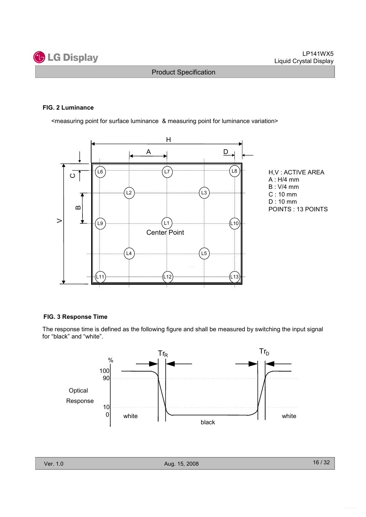

#### FIG. 2 Luminance

<measuring point for surface luminance & measuring point for luminance variation>



H,V : ACTIVE AREA A : H/4 mm B : V/4 mm C : 10 mm D : 10 mm POINTS : 13 POINTS

#### FIG. 3 Response Time

The response time is defined as the following figure and shall be measured by switching the input signal for "black" and "white".

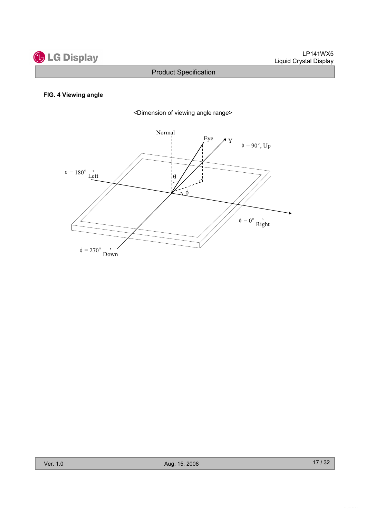

#### FIG. 4 Viewing angle



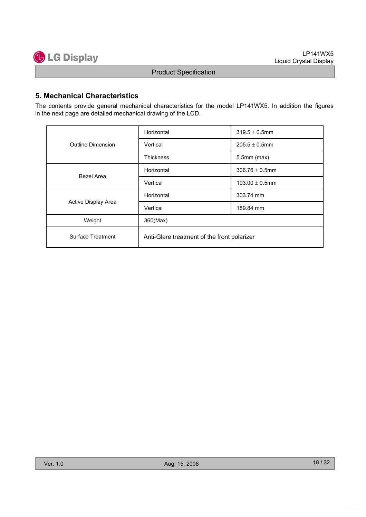

#### 5. Mechanical Characteristics

The contents provide general mechanical characteristics for the model LP141WX5. In addition the figures in the next page are detailed mechanical drawing of the LCD.

|                          | Horizontal                                  | $319.5 \pm 0.5$ mm  |  |  |  |
|--------------------------|---------------------------------------------|---------------------|--|--|--|
| <b>Outline Dimension</b> | Vertical                                    | $205.5 \pm 0.5$ mm  |  |  |  |
|                          | <b>Thickness</b>                            | $5.5$ mm $(max)$    |  |  |  |
| Bezel Area               | Horizontal                                  | $306.76 \pm 0.5$ mm |  |  |  |
|                          | Vertical                                    | 193.00 $\pm$ 0.5mm  |  |  |  |
|                          | Horizontal                                  | 303.74 mm           |  |  |  |
| Active Display Area      | Vertical                                    | 189.84 mm           |  |  |  |
| Weight                   | 360(Max)                                    |                     |  |  |  |
| Surface Treatment        | Anti-Glare treatment of the front polarizer |                     |  |  |  |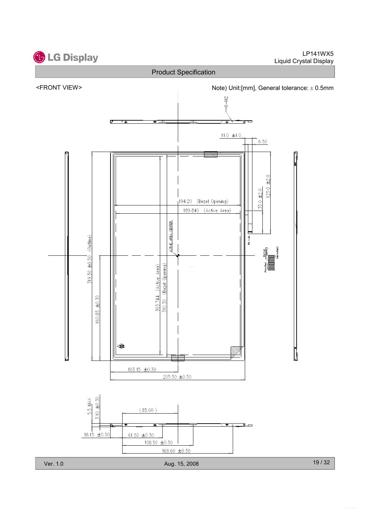

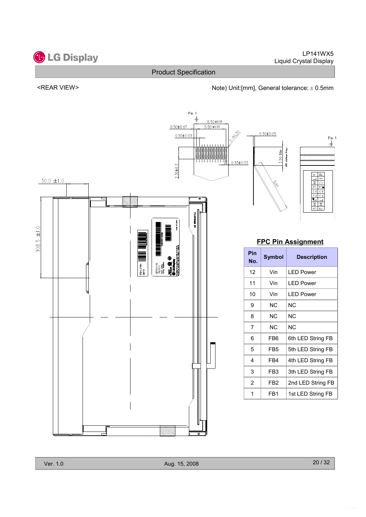

#### LP141WX5 Liquid Crystal Display

#### Product Specification

#### <REAR VIEW> <next and the Unit:[mm], General tolerance: ± 0.5mm

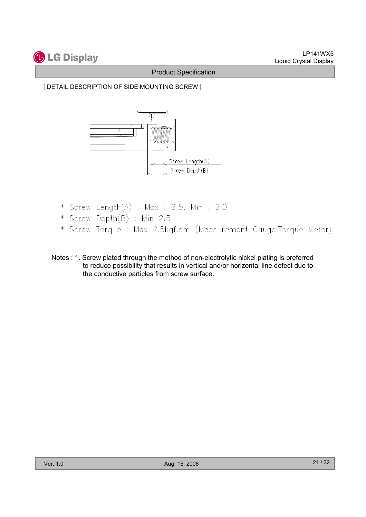

[ DETAIL DESCRIPTION OF SIDE MOUNTING SCREW ]



- \* Screw Length(A) : Max : 2.5, Min : 2.0
- \* Screw Depth(B) : Min 2.5
- \* Screw Torque : Max 2.5kgf.cm (Measurement Gauge:Torque Meter)
- Notes : 1. Screw plated through the method of non-electrolytic nickel plating is preferred to reduce possibility that results in vertical and/or horizontal line defect due to the conductive particles from screw surface.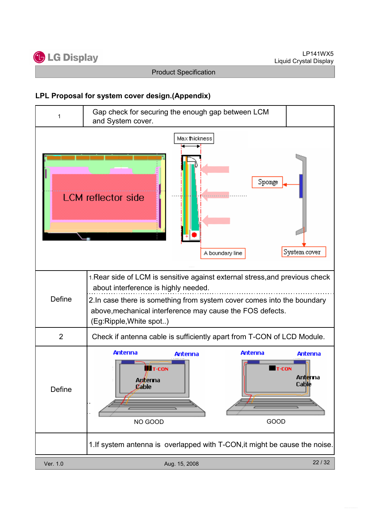

#### LPL Proposal for system cover design.(Appendix)

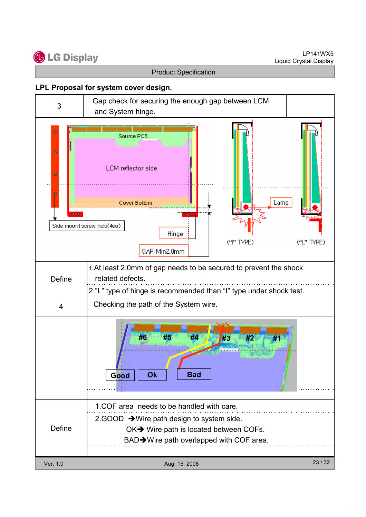LP141WX5 Liquid Crystal Display



Product Specification

#### LPL Proposal for system cover design.

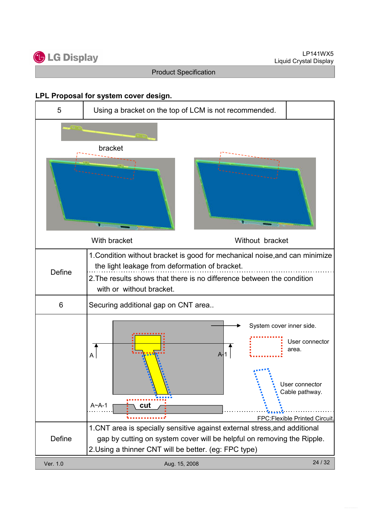

#### LPL Proposal for system cover design.

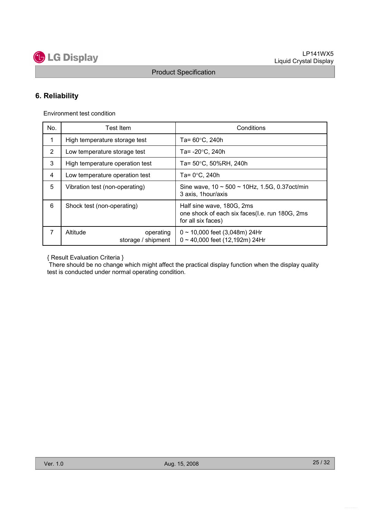

### 6. Reliability

Environment test condition

| No. | <b>Test Item</b>                            | Conditions                                                                                        |  |  |
|-----|---------------------------------------------|---------------------------------------------------------------------------------------------------|--|--|
| 1   | High temperature storage test               | Ta= $60^{\circ}$ C, 240h                                                                          |  |  |
| 2   | Low temperature storage test                | Ta= $-20^{\circ}$ C, 240h                                                                         |  |  |
| 3   | High temperature operation test             | Ta= 50°C, 50%RH, 240h                                                                             |  |  |
| 4   | Low temperature operation test              | Ta= $0^{\circ}$ C, 240h                                                                           |  |  |
| 5   | Vibration test (non-operating)              | Sine wave, $10 \sim 500 \sim 10$ Hz, 1.5G, 0.37oct/min<br>3 axis, 1hour/axis                      |  |  |
| 6   | Shock test (non-operating)                  | Half sine wave, 180G, 2ms<br>one shock of each six faces(I.e. run 180G, 2ms<br>for all six faces) |  |  |
| 7   | Altitude<br>operating<br>storage / shipment | $0 \sim 10,000$ feet (3,048m) 24Hr<br>$0 \sim 40,000$ feet (12,192m) 24Hr                         |  |  |

{ Result Evaluation Criteria }

There should be no change which might affect the practical display function when the display quality test is conducted under normal operating condition.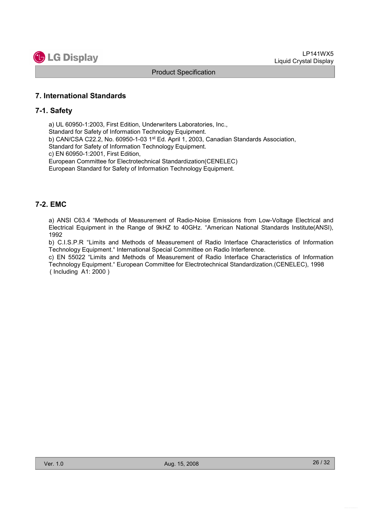

#### 7. International Standards

#### 7-1. Safety

a) UL 60950-1:2003, First Edition, Underwriters Laboratories, Inc., Standard for Safety of Information Technology Equipment. b) CAN/CSA C22.2, No. 60950-1-03 1st Ed. April 1, 2003, Canadian Standards Association, Standard for Safety of Information Technology Equipment. c) EN 60950-1:2001, First Edition, European Committee for Electrotechnical Standardization(CENELEC) European Standard for Safety of Information Technology Equipment.

#### 7-2. EMC

a) ANSI C63.4 "Methods of Measurement of Radio-Noise Emissions from Low-Voltage Electrical and Electrical Equipment in the Range of 9kHZ to 40GHz. "American National Standards Institute(ANSI), 1992

b) C.I.S.P.R "Limits and Methods of Measurement of Radio Interface Characteristics of Information Technology Equipment." International Special Committee on Radio Interference.

c) EN 55022 "Limits and Methods of Measurement of Radio Interface Characteristics of Information Technology Equipment." European Committee for Electrotechnical Standardization.(CENELEC), 1998 ( Including A1: 2000 )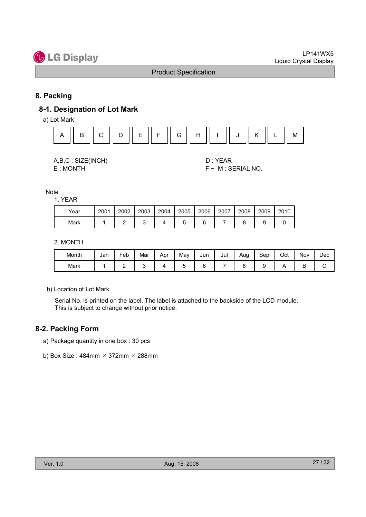

#### 8. Packing

#### 8-1. Designation of Lot Mark

a) Lot Mark



| A,B,C: SIZE(INCH) |  |
|-------------------|--|
| E:MONTH           |  |

D : YEAR  $F \sim M$  : SERIAL NO.

Note

1. YEAR

| Year | 2001 | 2002 | 2003 | 2004 | 2005 | 2006 | 2007 | 2008 | 2009 | 2010 |
|------|------|------|------|------|------|------|------|------|------|------|
| Mark |      |      |      |      |      |      |      |      |      |      |

2. MONTH

| Month | Jan | Feb | Mar | Apr | Mav | Jun    | Jul | Aug<br>ີ | Sep | Oct | Nov | Dec |
|-------|-----|-----|-----|-----|-----|--------|-----|----------|-----|-----|-----|-----|
| Mark  |     | -   | ⊾   |     |     | ⌒<br>∼ |     |          |     |     | ◡   | ັ   |

b) Location of Lot Mark

Serial No. is printed on the label. The label is attached to the backside of the LCD module. This is subject to change without prior notice.

#### 8-2. Packing Form

- a) Package quantity in one box : 30 pcs
- b) Box Size:  $484$ mm  $\times$  372mm  $\times$  288mm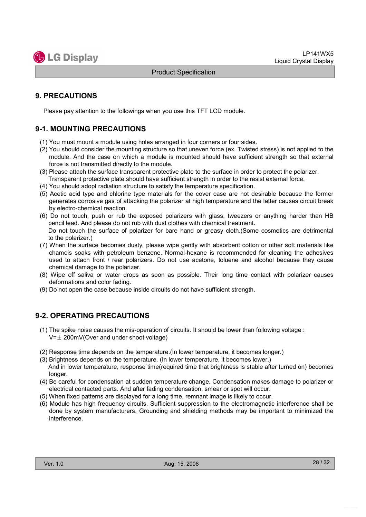

#### 9. PRECAUTIONS

Please pay attention to the followings when you use this TFT LCD module.

#### 9-1. MOUNTING PRECAUTIONS

- (1) You must mount a module using holes arranged in four corners or four sides.
- (2) You should consider the mounting structure so that uneven force (ex. Twisted stress) is not applied to the module. And the case on which a module is mounted should have sufficient strength so that external force is not transmitted directly to the module.
- (3) Please attach the surface transparent protective plate to the surface in order to protect the polarizer. Transparent protective plate should have sufficient strength in order to the resist external force.
- (4) You should adopt radiation structure to satisfy the temperature specification.
- (5) Acetic acid type and chlorine type materials for the cover case are not desirable because the former generates corrosive gas of attacking the polarizer at high temperature and the latter causes circuit break by electro-chemical reaction.
- (6) Do not touch, push or rub the exposed polarizers with glass, tweezers or anything harder than HB pencil lead. And please do not rub with dust clothes with chemical treatment. Do not touch the surface of polarizer for bare hand or greasy cloth.(Some cosmetics are detrimental to the polarizer.)
- (7) When the surface becomes dusty, please wipe gently with absorbent cotton or other soft materials like chamois soaks with petroleum benzene. Normal-hexane is recommended for cleaning the adhesives used to attach front / rear polarizers. Do not use acetone, toluene and alcohol because they cause chemical damage to the polarizer.
- (8) Wipe off saliva or water drops as soon as possible. Their long time contact with polarizer causes deformations and color fading.
- (9) Do not open the case because inside circuits do not have sufficient strength.

#### 9-2. OPERATING PRECAUTIONS

- (1) The spike noise causes the mis-operation of circuits. It should be lower than following voltage :  $V=\pm 200$ mV(Over and under shoot voltage)
- (2) Response time depends on the temperature.(In lower temperature, it becomes longer.)
- (3) Brightness depends on the temperature. (In lower temperature, it becomes lower.) And in lower temperature, response time(required time that brightness is stable after turned on) becomes longer.
- (4) Be careful for condensation at sudden temperature change. Condensation makes damage to polarizer or electrical contacted parts. And after fading condensation, smear or spot will occur.
- (5) When fixed patterns are displayed for a long time, remnant image is likely to occur.
- (6) Module has high frequency circuits. Sufficient suppression to the electromagnetic interference shall be done by system manufacturers. Grounding and shielding methods may be important to minimized the interference.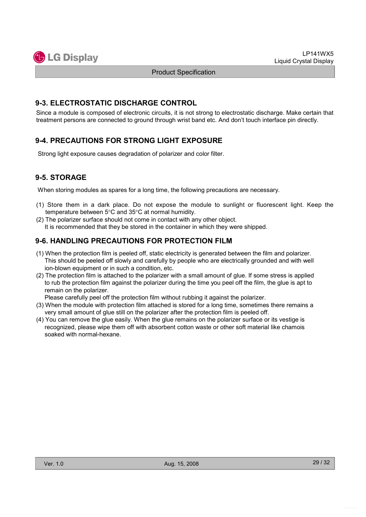

#### 9-3. ELECTROSTATIC DISCHARGE CONTROL

Since a module is composed of electronic circuits, it is not strong to electrostatic discharge. Make certain that treatment persons are connected to ground through wrist band etc. And don't touch interface pin directly.

### 9-4. PRECAUTIONS FOR STRONG LIGHT EXPOSURE

Strong light exposure causes degradation of polarizer and color filter.

### 9-5. STORAGE

When storing modules as spares for a long time, the following precautions are necessary.

- (1) Store them in a dark place. Do not expose the module to sunlight or fluorescent light. Keep the temperature between 5°C and 35°C at normal humidity.
- (2) The polarizer surface should not come in contact with any other object. It is recommended that they be stored in the container in which they were shipped.

#### 9-6. HANDLING PRECAUTIONS FOR PROTECTION FILM

- (1) When the protection film is peeled off, static electricity is generated between the film and polarizer. This should be peeled off slowly and carefully by people who are electrically grounded and with well ion-blown equipment or in such a condition, etc.
- (2) The protection film is attached to the polarizer with a small amount of glue. If some stress is applied to rub the protection film against the polarizer during the time you peel off the film, the glue is apt to remain on the polarizer.

Please carefully peel off the protection film without rubbing it against the polarizer.

- (3) When the module with protection film attached is stored for a long time, sometimes there remains a very small amount of glue still on the polarizer after the protection film is peeled off.
- (4) You can remove the glue easily. When the glue remains on the polarizer surface or its vestige is recognized, please wipe them off with absorbent cotton waste or other soft material like chamois soaked with normal-hexane.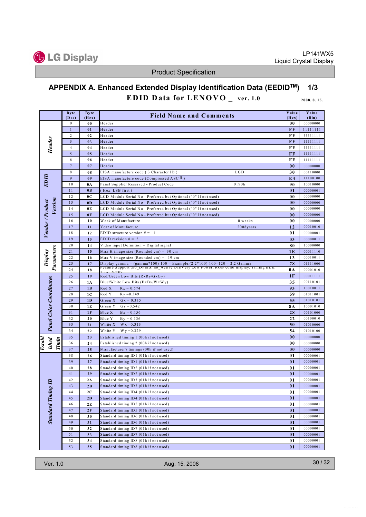

# APPENDIX A. Enhanced Extended Display Identification Data (EEDIDTM) 1/3 EDID Data for  $LENOVO$  ver. 1.0 2008. 8. 15.

|                                 | <b>Byte</b><br>(Dec) | <b>Byte</b><br>(Hex) | <b>Field Name and Comments</b>                                                                                               | Value<br>(Hex) | Value<br>(Bin)       |
|---------------------------------|----------------------|----------------------|------------------------------------------------------------------------------------------------------------------------------|----------------|----------------------|
|                                 | $\boldsymbol{0}$     | 00                   | Header                                                                                                                       | 00             | 00000000             |
|                                 | $\mathbf{1}$         | 01                   | Header                                                                                                                       | FF             | 11111111             |
|                                 | $\overline{2}$       | 02                   | Header                                                                                                                       | FF             | 11111111             |
| <b>Header</b>                   | $\overline{3}$       | 03                   | Header                                                                                                                       | FF             | 11111111             |
|                                 | $\overline{4}$       | 04                   | Header                                                                                                                       | FF             | 11111111             |
|                                 | $\sqrt{5}$           | 05                   | Header                                                                                                                       | FF             | 11111111             |
|                                 | 6                    | 06                   | Header                                                                                                                       | FF             | 11111111             |
|                                 | $\tau$               | 07                   | Header                                                                                                                       | 0 <sub>0</sub> | 00000000             |
|                                 | 8                    | 08                   | LGD<br>EISA manufacture code (3 Character ID)                                                                                | 30             | 00110000             |
| EDID                            | 9                    | 09                   | EISA manufacture code (Compressed ASC II)                                                                                    | E <sub>4</sub> | 11100100             |
|                                 | 10                   | 0A                   | 0190h<br>Panel Supplier Reserved - Product Code                                                                              | 90             | 10010000             |
|                                 | 11                   | 0 <sub>B</sub>       | (Hex. LSB first)                                                                                                             | 01             | 00000001             |
|                                 | 12                   | 0 <sup>C</sup>       | LCD Module Serial No - Preferred but Optional ("0" If not used)                                                              | 00             | 00000000             |
| Version                         | 13                   | 0 <sub>D</sub>       | LCD Module Serial No - Preferred but Optional ("0" If not used)                                                              | 0 <sub>0</sub> | 00000000             |
|                                 | 14                   | 0E                   | LCD Module Serial No - Preferred but Optional ("0" If not used)                                                              | 00             | 00000000             |
|                                 | 15                   | 0 <sub>F</sub>       | LCD Module Serial No - Preferred but Optional ("0" If not used)                                                              | 0 <sub>0</sub> | 00000000             |
| Vendor / Product                | 16                   | 10                   | Week of Manufacture<br>0 weeks                                                                                               | 0 <sub>0</sub> | 00000000             |
|                                 | 17                   | 11                   | Year of Manufacture<br>2008years                                                                                             | 12             | 00010010             |
|                                 | 18                   | 12                   | EDID structure version $# = 1$                                                                                               | 01             | 00000001             |
|                                 | 19                   | 13                   | EDID revision $# = 3$                                                                                                        | 03             | 00000011             |
|                                 | 20                   | 14                   | Video input Definition = Digital signal                                                                                      | 80             | 10000000             |
| Parameters<br>Display           | 21                   | 15                   | Max H image size (Rounded cm) = $30$ cm                                                                                      | 1E             | 00011110             |
|                                 | 22<br>23             | 16                   | Max V image size (Rounded cm) = $19 \text{ cm}$<br>Display gamma = $(gamma*100)-100 = Example:(2.2*100)-100=120 = 2.2$ Gamma | 13             | 00010011<br>01111000 |
|                                 | 24                   | 17                   | Feature Support (no_DPMS, no_Active Off/Very Low Power, RGB color display, 11ming BLR                                        | 78             | 00001010             |
|                                 | 25                   | 18                   |                                                                                                                              | 0A             |                      |
| <b>Panel Color Coordinates</b>  |                      | 19                   | Red/Green Low Bits (RxRy/GxGy)                                                                                               | 1F             | 00011111<br>00110101 |
|                                 | 26<br>27             | 1A<br>1B             | Blue/White Low Bits (BxBy/WxWy)<br>Red X<br>$Rx = 0.574$                                                                     | 35<br>93       | 10010011             |
|                                 | 28                   | 1 <sup>C</sup>       | Red Y<br>$Ry = 0.349$                                                                                                        | 59             | 01011001             |
|                                 | 29                   | 1 <sub>D</sub>       | Green X<br>$Gx = 0.335$                                                                                                      | 55             | 01010101             |
|                                 | 30                   | 1E                   | $Gy = 0.542$<br>Green Y                                                                                                      | <b>8A</b>      | 10001010             |
|                                 | 31                   | 1F                   | Blue X<br>$Bx = 0.156$                                                                                                       | 28             | 00101000             |
|                                 | 32                   | 20                   | Blue Y<br>$By = 0.136$                                                                                                       | 22             | 00100010             |
|                                 | 33                   | 21                   | White X<br>$W x = 0.313$                                                                                                     | 50             | 01010000             |
|                                 | 34                   | 22                   | White Y<br>$Wy = 0.329$                                                                                                      | 54             | 01010100             |
|                                 | 35                   | 23                   | Established timing 1 (00h if not used)                                                                                       | 0 <sub>0</sub> | 00000000             |
| ished<br>Timin<br><b>Establ</b> | 36                   | 24                   | Established timing 2 (00h if not used)                                                                                       | 00             | 00000000             |
|                                 | 37                   | 25                   | Manufacturer's timings (00h if not used)                                                                                     | 0 <sub>0</sub> | 00000000             |
|                                 | 38                   | 26                   | Standard timing ID1 (01h if not used)                                                                                        | 01             | 00000001             |
|                                 | 39                   | 27                   | Standard timing ID1 (01h if not used)                                                                                        | 01             | 00000001             |
|                                 | 40                   | 28                   | Standard timing ID2 (01h if not used)                                                                                        | 01             | 00000001             |
|                                 | 41                   | 29                   | Standard timing ID2 (01h if not used)                                                                                        | 01             | 00000001             |
| $\overline{a}$                  | 42                   | 2A                   | Standard timing ID3 (01h if not used)                                                                                        | 01             | 00000001             |
|                                 | 43                   | 2B                   | Standard timing ID3 (01h if not used)                                                                                        | 01             | 00000001             |
|                                 | 44                   | 2C                   | Standard timing ID4 (01h if not used)                                                                                        | 01             | 00000001             |
| <b>Standard Timing 1</b>        | 45                   | 2D                   | Standard timing ID4 (01h if not used)                                                                                        | 01             | 00000001             |
|                                 | 46                   | 2E                   | Standard timing ID5 (01h if not used)                                                                                        | 01             | 00000001             |
|                                 | 47                   | 2F                   | Standard timing ID5 (01h if not used)                                                                                        | 01             | 00000001             |
|                                 | 48                   | 30                   | Standard timing ID6 (01h if not used)                                                                                        | 01             | 00000001             |
|                                 | 49                   | 31                   | Standard timing ID6 (01h if not used)                                                                                        | 01             | 00000001             |
|                                 | 50                   | 32                   | Standard timing ID7 (01h if not used)                                                                                        | 01             | 00000001             |
|                                 | 51                   | 33                   | Standard timing ID7 (01h if not used)                                                                                        | 01             | 00000001             |
|                                 | 52                   | 34                   | Standard timing ID8 (01h if not used)                                                                                        | 01             | 00000001             |
|                                 | 53                   | 35                   | Standard timing ID8 (01h if not used)                                                                                        | 01             | 00000001             |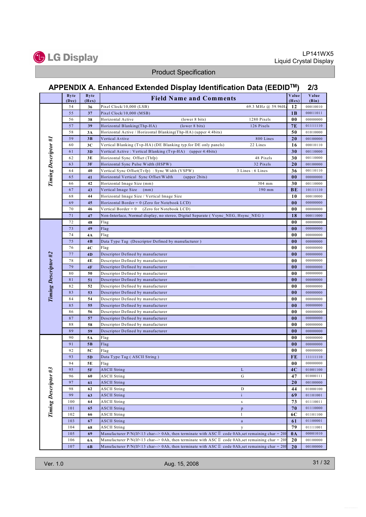

# APPENDIX A. Enhanced Extended Display Identification Data (EEDIDTM) 2/3

|                      | <b>Byte</b><br>(Dec) | <b>Byte</b><br>(Hex) | <b>Field Name and Comments</b>                                                                             | Value<br>(Hex) | Value<br>(Bin)       |
|----------------------|----------------------|----------------------|------------------------------------------------------------------------------------------------------------|----------------|----------------------|
|                      | 54                   | 36                   | Pixel Clock/10,000 (LSB)<br>69.3 MHz @ 59.96Hz                                                             | 12             | 00010010             |
|                      | 55                   | 37                   | Pixel Clock/10,000 (MSB)                                                                                   | 1B             | 00011011             |
|                      | 56                   | 38                   | (lower 8 bits)<br>1280 Pixels<br>Horizontal Active                                                         | 00             | 00000000             |
|                      | 57                   | 39                   | Horizontal Blanking(Thp-HA)<br>(lower 8 bits)<br>126 Pixels                                                | <b>7E</b>      | 01111110             |
|                      | 58                   | 3A                   | Horizontal Active / Horizontal Blanking(Thp-HA) (upper 4:4bits)                                            | 50             | 01010000             |
|                      | 59                   | 3B                   | Vertical Avtive<br>800 Lines                                                                               | 20             | 00100000             |
|                      | 60                   | 3C                   | 22 Lines<br>Vertical Blanking (Tvp-HA) (DE Blanking typ.for DE only panels)                                | 16             | 00010110             |
|                      | 61                   | 3D                   | Vertical Active: Vertical Blanking (Tvp-HA) (upper 4:4bits)                                                | 30             | 00110000             |
|                      | 62                   | 3E                   | 48 Pixels<br>Horizontal Sync. Offset (Thfp)                                                                | 30             | 00110000             |
| Timing Descriptor #1 | 63                   | 3F                   | 32 Pixels<br>Horizontal Sync Pulse Width (HSPW)                                                            | 20             | 00100000             |
|                      | 64                   | 40                   | 3 Lines: 6 Lines<br>Vertical Sync Offset(Tvfp): Sync Width (VSPW)                                          | 36             | 00110110             |
|                      | 65                   | 41                   | Horizontal Vertical Sync Offset/Width<br>(upper 2bits)                                                     | $00\,$         | 00000000             |
|                      | 66                   | 42                   | Horizontal Image Size (mm)<br>304 mm                                                                       | 30             | 00110000             |
|                      | 67                   | 43                   | Vertical Image Size<br>190 mm<br>(mm)                                                                      | BE             | 10111110             |
|                      | 68                   | 44                   | Horizontal Image Size / Vertical Image Size                                                                | 10             | 00010000             |
|                      | 69                   | 45                   | Horizontal Border = $0$ (Zero for Notebook LCD)                                                            | $00\,$         | 00000000             |
|                      | 70                   | 46                   | Vertical Border = $0$<br>(Zero for Notebook LCD)                                                           | 00             | 00000000             |
|                      | 71                   | 47                   | Non-Interlace, Normal display, no stereo, Digital Separate (Vsync NEG, Hsync NEG)                          | 18             | 00011000             |
|                      | 72                   | 48                   | Flag                                                                                                       | 00             | 00000000             |
|                      | 73                   | 49                   | Flag                                                                                                       | $00\,$         | 00000000             |
|                      | 74                   | 4Α                   | Flag                                                                                                       | 00             | 00000000             |
|                      | 75                   | 4B                   | Data Type Tag (Descriptor Defined by manufacturer)                                                         | 0 <sub>0</sub> | 00000000             |
|                      | 76                   | 4C                   | Flag                                                                                                       | 00             | 00000000             |
|                      | 77                   | 4D                   | Descriptor Defined by manufacturer                                                                         | $00\,$         | 00000000             |
|                      | 78                   | 4E                   | Descriptor Defined by manufacturer                                                                         | 00             | 00000000             |
|                      | 79                   | 4F                   | Descriptor Defined by manufacturer                                                                         | 0 <sub>0</sub> | 00000000             |
|                      | 80                   | 50                   | Descriptor Defined by manufacturer                                                                         | 00             | 00000000             |
|                      | 81                   | 51                   | Descriptor Defined by manufacturer                                                                         | 00             | 00000000             |
|                      | 82                   | 52                   | Descriptor Defined by manufacturer                                                                         | 00             | 00000000             |
| Timing Descriptor #2 | 83                   | 53                   | Descriptor Defined by manufacturer                                                                         | 0 <sub>0</sub> | 00000000             |
|                      | 84                   | 54                   | Descriptor Defined by manufacturer                                                                         | 00             | 00000000             |
|                      | 85                   | 55                   | Descriptor Defined by manufacturer                                                                         | 0 <sub>0</sub> | 00000000             |
|                      | 86                   | 56                   | Descriptor Defined by manufacturer                                                                         | 00             | 00000000             |
|                      | 87                   | 57                   | Descriptor Defined by manufacturer                                                                         | 0 <sub>0</sub> | 00000000             |
|                      | 88                   | 58                   | Descriptor Defined by manufacturer                                                                         | 00             | 00000000             |
|                      | 89                   | 59                   | Descriptor Defined by manufacturer                                                                         | 0 <sub>0</sub> | 00000000             |
|                      | 90                   | 5A                   | Flag                                                                                                       | 00             | 00000000             |
|                      | 91                   | 5 <sub>B</sub>       | Flag                                                                                                       | 0 <sub>0</sub> | 00000000             |
|                      | 92                   | 5C                   | Flag                                                                                                       | 00             | 00000000             |
|                      | 93                   | 5D                   | Data Type Tag (ASCII String)                                                                               | FE             | 11111110             |
|                      | 94                   | 5Ε                   | Flag                                                                                                       | 00             | 00000000             |
|                      | 95                   | 5F                   | <b>ASCII String</b><br>L                                                                                   | 4C             | 01001100             |
|                      | 96                   | 60                   | G<br><b>ASCII String</b>                                                                                   | 47<br>20       | 01000111             |
|                      | 97                   | 61                   | <b>ASCII String</b>                                                                                        |                | 00100000<br>01000100 |
|                      | 98<br>99             | 62                   | <b>ASCII String</b><br>D<br>$\mathbf{i}$                                                                   | 44<br>69       |                      |
| Timing Descriptor #3 | 100                  | 63                   | <b>ASCII String</b><br><b>ASCII String</b>                                                                 | 73             | 01101001<br>01110011 |
|                      | 101                  | 64<br>65             | ${\bf S}$<br><b>ASCII String</b>                                                                           | 70             | 01110000             |
|                      | 102                  | 66                   | p<br><b>ASCII String</b><br>1                                                                              | 6C             | 01101100             |
|                      | 103                  | 67                   | <b>ASCII String</b><br>$\mathbf{a}$                                                                        | 61             | 01100001             |
|                      | 104                  | 68                   | <b>ASCII String</b><br>у                                                                                   | 79             | 01111001             |
|                      | 105                  | 69                   | Manufacturer P/N(If<13 char--> 0Ah, then terminate with ASC $\mathbb I$ code 0Ah, set remaining char = 20h | $0\text{A}$    | 00001010             |
|                      | 106                  | 6A                   | Manufacturer P/N(If<13 char--> 0Ah, then terminate with ASC $\mathbb I$ code 0Ah, set remaining char = 201 | 20             | 00100000             |
|                      | 107                  | 6 <sub>B</sub>       | Manufacturer P/N(If<13 char--> 0Ah, then terminate with ASC $\mathbb I$ code 0Ah, set remaining char = 201 | 20             | 00100000             |